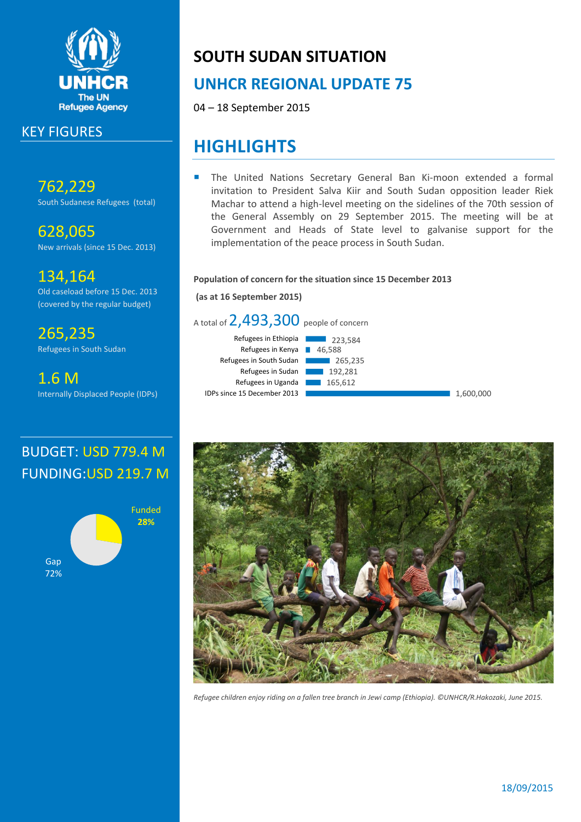

## KEY FIGURES

762,229 South Sudanese Refugees (total)

628,065 New arrivals (since 15 Dec. 2013)

134,164 Old caseload before 15 Dec. 2013 (covered by the regular budget)

265,235 Refugees in South Sudan

1.6 M Internally Displaced People (IDPs)

# **SOUTH SUDAN SITUATION**

# **UNHCR REGIONAL UPDATE 75**

04 – 18 September 2015

# **HIGHLIGHTS**

 The United Nations Secretary General Ban Ki-moon extended a formal invitation to President Salva Kiir and South Sudan opposition leader Riek Machar to attend a high-level meeting on the sidelines of the 70th session of the General Assembly on 29 September 2015. The meeting will be at Government and Heads of State level to galvanise support for the implementation of the peace process in South Sudan.

## **Population of concern for the situation since 15 December 2013**

**(as at 16 September 2015)**



# BUDGET: USD 779.4 M FUNDING:USD 219.7 M





*Refugee children enjoy riding on a fallen tree branch in Jewi camp (Ethiopia). ©UNHCR/R.Hakozaki, June 2015.*

## 18/09/2015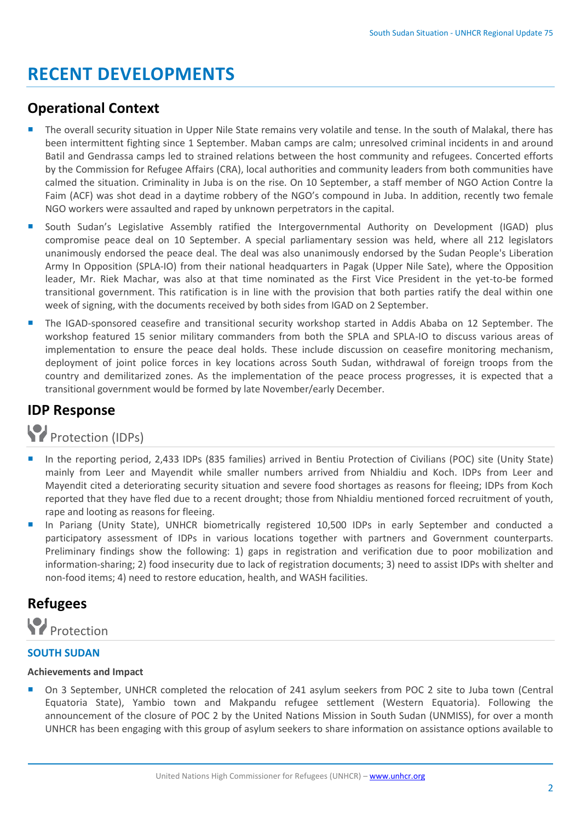# **RECENT DEVELOPMENTS**

## **Operational Context**

- The overall security situation in Upper Nile State remains very volatile and tense. In the south of Malakal, there has been intermittent fighting since 1 September. Maban camps are calm; unresolved criminal incidents in and around Batil and Gendrassa camps led to strained relations between the host community and refugees. Concerted efforts by the Commission for Refugee Affairs (CRA), local authorities and community leaders from both communities have calmed the situation. Criminality in Juba is on the rise. On 10 September, a staff member of NGO Action Contre la Faim (ACF) was shot dead in a daytime robbery of the NGO's compound in Juba. In addition, recently two female NGO workers were assaulted and raped by unknown perpetrators in the capital.
- South Sudan's Legislative Assembly ratified the Intergovernmental Authority on Development (IGAD) plus compromise peace deal on 10 September. A special parliamentary session was held, where all 212 legislators unanimously endorsed the peace deal. The deal was also unanimously endorsed by the Sudan People's Liberation Army In Opposition (SPLA-IO) from their national headquarters in Pagak (Upper Nile Sate), where the Opposition leader, Mr. Riek Machar, was also at that time nominated as the First Vice President in the yet-to-be formed transitional government. This ratification is in line with the provision that both parties ratify the deal within one week of signing, with the documents received by both sides from IGAD on 2 September.
- The IGAD-sponsored ceasefire and transitional security workshop started in Addis Ababa on 12 September. The workshop featured 15 senior military commanders from both the SPLA and SPLA-IO to discuss various areas of implementation to ensure the peace deal holds. These include discussion on ceasefire monitoring mechanism, deployment of joint police forces in key locations across South Sudan, withdrawal of foreign troops from the country and demilitarized zones. As the implementation of the peace process progresses, it is expected that a transitional government would be formed by late November/early December.

## **IDP Response**

Protection (IDPs)

- In the reporting period, 2,433 IDPs (835 families) arrived in Bentiu Protection of Civilians (POC) site (Unity State) mainly from Leer and Mayendit while smaller numbers arrived from Nhialdiu and Koch. IDPs from Leer and Mayendit cited a deteriorating security situation and severe food shortages as reasons for fleeing; IDPs from Koch reported that they have fled due to a recent drought; those from Nhialdiu mentioned forced recruitment of youth, rape and looting as reasons for fleeing.
- In Pariang (Unity State), UNHCR biometrically registered 10,500 IDPs in early September and conducted a participatory assessment of IDPs in various locations together with partners and Government counterparts. Preliminary findings show the following: 1) gaps in registration and verification due to poor mobilization and information-sharing; 2) food insecurity due to lack of registration documents; 3) need to assist IDPs with shelter and non-food items; 4) need to restore education, health, and WASH facilities.

## **Refugees**



## **SOUTH SUDAN**

## **Achievements and Impact**

■ On 3 September, UNHCR completed the relocation of 241 asylum seekers from POC 2 site to Juba town (Central Equatoria State), Yambio town and Makpandu refugee settlement (Western Equatoria). Following the announcement of the closure of POC 2 by the United Nations Mission in South Sudan (UNMISS), for over a month UNHCR has been engaging with this group of asylum seekers to share information on assistance options available to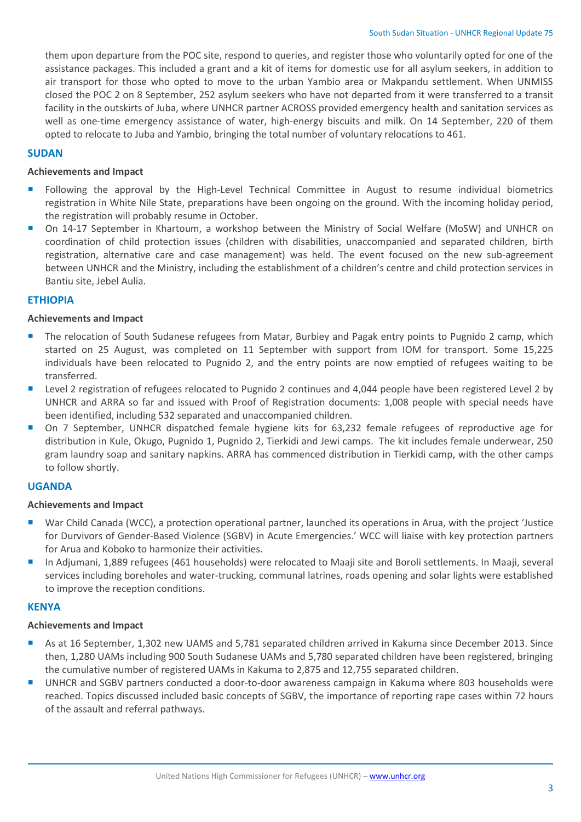them upon departure from the POC site, respond to queries, and register those who voluntarily opted for one of the assistance packages. This included a grant and a kit of items for domestic use for all asylum seekers, in addition to air transport for those who opted to move to the urban Yambio area or Makpandu settlement. When UNMISS closed the POC 2 on 8 September, 252 asylum seekers who have not departed from it were transferred to a transit facility in the outskirts of Juba, where UNHCR partner ACROSS provided emergency health and sanitation services as well as one-time emergency assistance of water, high-energy biscuits and milk. On 14 September, 220 of them opted to relocate to Juba and Yambio, bringing the total number of voluntary relocations to 461.

## **SUDAN**

### **Achievements and Impact**

- Following the approval by the High-Level Technical Committee in August to resume individual biometrics registration in White Nile State, preparations have been ongoing on the ground. With the incoming holiday period, the registration will probably resume in October.
- On 14-17 September in Khartoum, a workshop between the Ministry of Social Welfare (MoSW) and UNHCR on coordination of child protection issues (children with disabilities, unaccompanied and separated children, birth registration, alternative care and case management) was held. The event focused on the new sub-agreement between UNHCR and the Ministry, including the establishment of a children's centre and child protection services in Bantiu site, Jebel Aulia.

### **ETHIOPIA**

#### **Achievements and Impact**

- **The relocation of South Sudanese refugees from Matar, Burbiey and Pagak entry points to Pugnido 2 camp, which** started on 25 August, was completed on 11 September with support from IOM for transport. Some 15,225 individuals have been relocated to Pugnido 2, and the entry points are now emptied of refugees waiting to be transferred.
- **Level 2 registration of refugees relocated to Pugnido 2 continues and 4,044 people have been registered Level 2 by** UNHCR and ARRA so far and issued with Proof of Registration documents: 1,008 people with special needs have been identified, including 532 separated and unaccompanied children.
- On 7 September, UNHCR dispatched female hygiene kits for 63,232 female refugees of reproductive age for distribution in Kule, Okugo, Pugnido 1, Pugnido 2, Tierkidi and Jewi camps. The kit includes female underwear, 250 gram laundry soap and sanitary napkins. ARRA has commenced distribution in Tierkidi camp, with the other camps to follow shortly.

## **UGANDA**

#### **Achievements and Impact**

- War Child Canada (WCC), a protection operational partner, launched its operations in Arua, with the project 'Justice for Durvivors of Gender-Based Violence (SGBV) in Acute Emergencies.' WCC will liaise with key protection partners for Arua and Koboko to harmonize their activities.
- In Adjumani, 1,889 refugees (461 households) were relocated to Maaji site and Boroli settlements. In Maaji, several services including boreholes and water-trucking, communal latrines, roads opening and solar lights were established to improve the reception conditions.

## **KENYA**

#### **Achievements and Impact**

- As at 16 September, 1,302 new UAMS and 5,781 separated children arrived in Kakuma since December 2013. Since then, 1,280 UAMs including 900 South Sudanese UAMs and 5,780 separated children have been registered, bringing the cumulative number of registered UAMs in Kakuma to 2,875 and 12,755 separated children.
- UNHCR and SGBV partners conducted a door-to-door awareness campaign in Kakuma where 803 households were reached. Topics discussed included basic concepts of SGBV, the importance of reporting rape cases within 72 hours of the assault and referral pathways.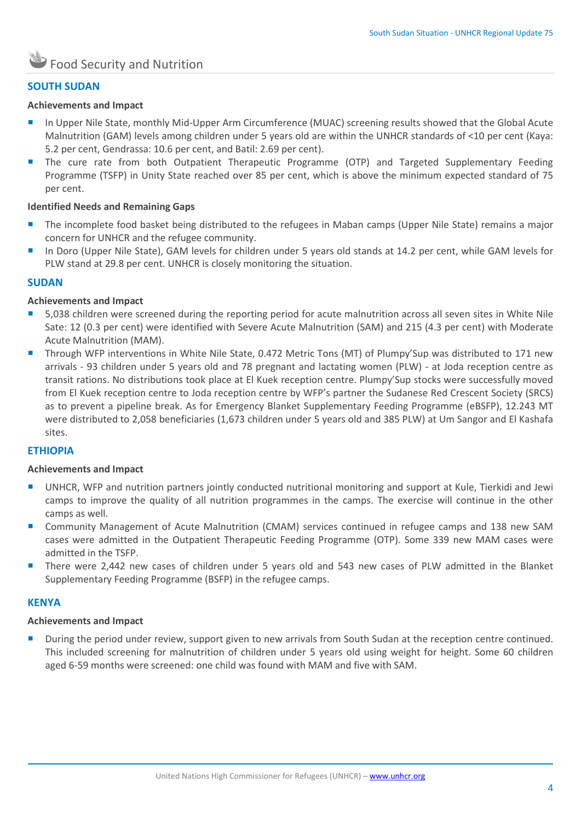## **SOUTH SUDAN**

### **Achievements and Impact**

- In Upper Nile State, monthly Mid-Upper Arm Circumference (MUAC) screening results showed that the Global Acute Malnutrition (GAM) levels among children under 5 years old are within the UNHCR standards of <10 per cent (Kaya: 5.2 per cent, Gendrassa: 10.6 per cent, and Batil: 2.69 per cent).
- The cure rate from both Outpatient Therapeutic Programme (OTP) and Targeted Supplementary Feeding Programme (TSFP) in Unity State reached over 85 per cent, which is above the minimum expected standard of 75 per cent.

## **Identified Needs and Remaining Gaps**

- The incomplete food basket being distributed to the refugees in Maban camps (Upper Nile State) remains a major concern for UNHCR and the refugee community.
- In Doro (Upper Nile State), GAM levels for children under 5 years old stands at 14.2 per cent, while GAM levels for PLW stand at 29.8 per cent. UNHCR is closely monitoring the situation.

### **SUDAN**

### **Achievements and Impact**

- 5,038 children were screened during the reporting period for acute malnutrition across all seven sites in White Nile Sate: 12 (0.3 per cent) were identified with Severe Acute Malnutrition (SAM) and 215 (4.3 per cent) with Moderate Acute Malnutrition (MAM).
- Through WFP interventions in White Nile State, 0.472 Metric Tons (MT) of Plumpy'Sup was distributed to 171 new arrivals - 93 children under 5 years old and 78 pregnant and lactating women (PLW) - at Joda reception centre as transit rations. No distributions took place at El Kuek reception centre. Plumpy'Sup stocks were successfully moved from El Kuek reception centre to Joda reception centre by WFP's partner the Sudanese Red Crescent Society (SRCS) as to prevent a pipeline break. As for Emergency Blanket Supplementary Feeding Programme (eBSFP), 12.243 MT were distributed to 2,058 beneficiaries (1,673 children under 5 years old and 385 PLW) at Um Sangor and El Kashafa sites.

## **ETHIOPIA**

#### **Achievements and Impact**

- UNHCR, WFP and nutrition partners jointly conducted nutritional monitoring and support at Kule, Tierkidi and Jewi camps to improve the quality of all nutrition programmes in the camps. The exercise will continue in the other camps as well.
- Community Management of Acute Malnutrition (CMAM) services continued in refugee camps and 138 new SAM cases were admitted in the Outpatient Therapeutic Feeding Programme (OTP). Some 339 new MAM cases were admitted in the TSFP.
- There were 2,442 new cases of children under 5 years old and 543 new cases of PLW admitted in the Blanket Supplementary Feeding Programme (BSFP) in the refugee camps.

## **KENYA**

## **Achievements and Impact**

 During the period under review, support given to new arrivals from South Sudan at the reception centre continued. This included screening for malnutrition of children under 5 years old using weight for height. Some 60 children aged 6-59 months were screened: one child was found with MAM and five with SAM.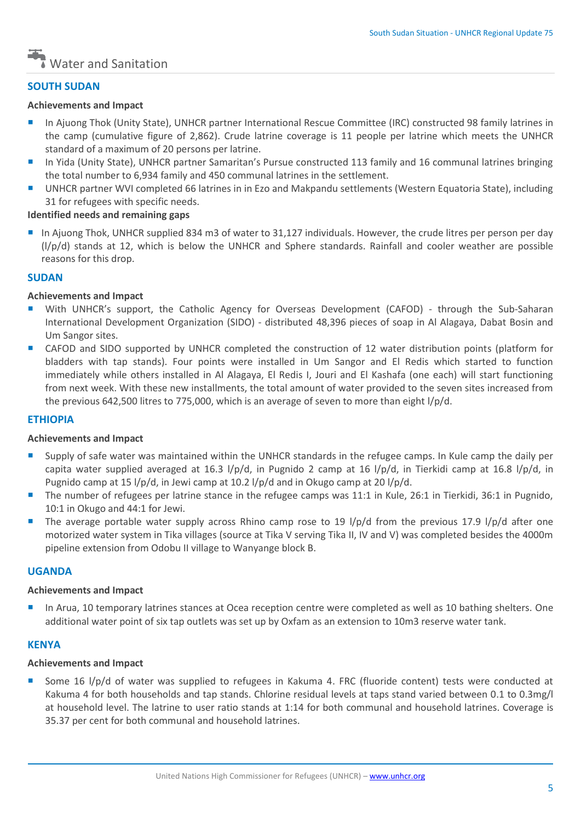

## **SOUTH SUDAN**

### **Achievements and Impact**

- **In Ajuong Thok (Unity State), UNHCR partner International Rescue Committee (IRC) constructed 98 family latrines in** the camp (cumulative figure of 2,862). Crude latrine coverage is 11 people per latrine which meets the UNHCR standard of a maximum of 20 persons per latrine.
- In Yida (Unity State), UNHCR partner Samaritan's Pursue constructed 113 family and 16 communal latrines bringing the total number to 6,934 family and 450 communal latrines in the settlement.
- UNHCR partner WVI completed 66 latrines in in Ezo and Makpandu settlements (Western Equatoria State), including 31 for refugees with specific needs.

## **Identified needs and remaining gaps**

 In Ajuong Thok, UNHCR supplied 834 m3 of water to 31,127 individuals. However, the crude litres per person per day  $(1/p/d)$  stands at 12, which is below the UNHCR and Sphere standards. Rainfall and cooler weather are possible reasons for this drop.

### **SUDAN**

### **Achievements and Impact**

- With UNHCR's support, the Catholic Agency for Overseas Development (CAFOD) through the Sub-Saharan International Development Organization (SIDO) - distributed 48,396 pieces of soap in Al Alagaya, Dabat Bosin and Um Sangor sites.
- CAFOD and SIDO supported by UNHCR completed the construction of 12 water distribution points (platform for bladders with tap stands). Four points were installed in Um Sangor and El Redis which started to function immediately while others installed in Al Alagaya, El Redis I, Jouri and El Kashafa (one each) will start functioning from next week. With these new installments, the total amount of water provided to the seven sites increased from the previous 642,500 litres to 775,000, which is an average of seven to more than eight l/p/d.

## **ETHIOPIA**

#### **Achievements and Impact**

- Supply of safe water was maintained within the UNHCR standards in the refugee camps. In Kule camp the daily per capita water supplied averaged at 16.3 l/p/d, in Pugnido 2 camp at 16 l/p/d, in Tierkidi camp at 16.8 l/p/d, in Pugnido camp at 15 l/p/d, in Jewi camp at 10.2 l/p/d and in Okugo camp at 20 l/p/d.
- The number of refugees per latrine stance in the refugee camps was 11:1 in Kule, 26:1 in Tierkidi, 36:1 in Pugnido, 10:1 in Okugo and 44:1 for Jewi.
- The average portable water supply across Rhino camp rose to 19 l/p/d from the previous 17.9 l/p/d after one motorized water system in Tika villages (source at Tika V serving Tika II, IV and V) was completed besides the 4000m pipeline extension from Odobu II village to Wanyange block B.

## **UGANDA**

#### **Achievements and Impact**

 In Arua, 10 temporary latrines stances at Ocea reception centre were completed as well as 10 bathing shelters. One additional water point of six tap outlets was set up by Oxfam as an extension to 10m3 reserve water tank.

#### **KENYA**

#### **Achievements and Impact**

■ Some 16 l/p/d of water was supplied to refugees in Kakuma 4. FRC (fluoride content) tests were conducted at Kakuma 4 for both households and tap stands. Chlorine residual levels at taps stand varied between 0.1 to 0.3mg/l at household level. The latrine to user ratio stands at 1:14 for both communal and household latrines. Coverage is 35.37 per cent for both communal and household latrines.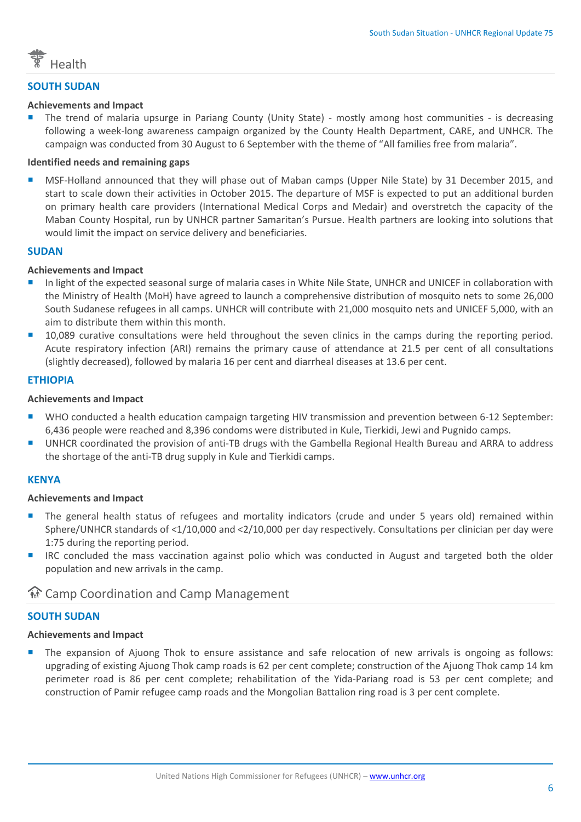

## **SOUTH SUDAN**

## **Achievements and Impact**

 The trend of malaria upsurge in Pariang County (Unity State) - mostly among host communities - is decreasing following a week-long awareness campaign organized by the County Health Department, CARE, and UNHCR. The campaign was conducted from 30 August to 6 September with the theme of "All families free from malaria".

## **Identified needs and remaining gaps**

 MSF-Holland announced that they will phase out of Maban camps (Upper Nile State) by 31 December 2015, and start to scale down their activities in October 2015. The departure of MSF is expected to put an additional burden on primary health care providers (International Medical Corps and Medair) and overstretch the capacity of the Maban County Hospital, run by UNHCR partner Samaritan's Pursue. Health partners are looking into solutions that would limit the impact on service delivery and beneficiaries.

### **SUDAN**

### **Achievements and Impact**

- In light of the expected seasonal surge of malaria cases in White Nile State, UNHCR and UNICEF in collaboration with the Ministry of Health (MoH) have agreed to launch a comprehensive distribution of mosquito nets to some 26,000 South Sudanese refugees in all camps. UNHCR will contribute with 21,000 mosquito nets and UNICEF 5,000, with an aim to distribute them within this month.
- 10,089 curative consultations were held throughout the seven clinics in the camps during the reporting period. Acute respiratory infection (ARI) remains the primary cause of attendance at 21.5 per cent of all consultations (slightly decreased), followed by malaria 16 per cent and diarrheal diseases at 13.6 per cent.

## **ETHIOPIA**

### **Achievements and Impact**

- WHO conducted a health education campaign targeting HIV transmission and prevention between 6-12 September: 6,436 people were reached and 8,396 condoms were distributed in Kule, Tierkidi, Jewi and Pugnido camps.
- UNHCR coordinated the provision of anti-TB drugs with the Gambella Regional Health Bureau and ARRA to address the shortage of the anti-TB drug supply in Kule and Tierkidi camps.

## **KENYA**

#### **Achievements and Impact**

- The general health status of refugees and mortality indicators (crude and under 5 years old) remained within Sphere/UNHCR standards of <1/10,000 and <2/10,000 per day respectively. Consultations per clinician per day were 1:75 during the reporting period.
- **IRC** concluded the mass vaccination against polio which was conducted in August and targeted both the older population and new arrivals in the camp.

## **M** Camp Coordination and Camp Management

## **SOUTH SUDAN**

## **Achievements and Impact**

 The expansion of Ajuong Thok to ensure assistance and safe relocation of new arrivals is ongoing as follows: upgrading of existing Ajuong Thok camp roads is 62 per cent complete; construction of the Ajuong Thok camp 14 km perimeter road is 86 per cent complete; rehabilitation of the Yida-Pariang road is 53 per cent complete; and construction of Pamir refugee camp roads and the Mongolian Battalion ring road is 3 per cent complete.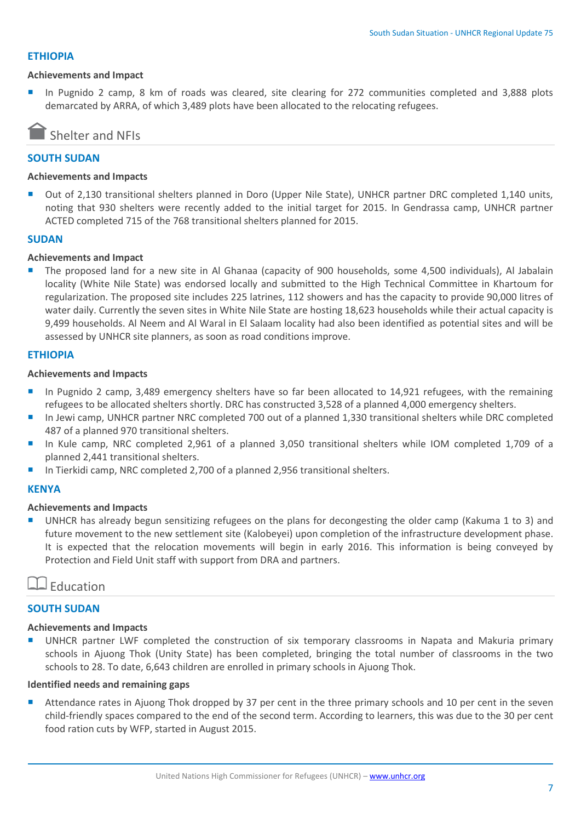### **ETHIOPIA**

#### **Achievements and Impact**

 In Pugnido 2 camp, 8 km of roads was cleared, site clearing for 272 communities completed and 3,888 plots demarcated by ARRA, of which 3,489 plots have been allocated to the relocating refugees.

## Shelter and NFIs

## **SOUTH SUDAN**

#### **Achievements and Impacts**

 Out of 2,130 transitional shelters planned in Doro (Upper Nile State), UNHCR partner DRC completed 1,140 units, noting that 930 shelters were recently added to the initial target for 2015. In Gendrassa camp, UNHCR partner ACTED completed 715 of the 768 transitional shelters planned for 2015.

### **SUDAN**

### **Achievements and Impact**

 The proposed land for a new site in Al Ghanaa (capacity of 900 households, some 4,500 individuals), Al Jabalain locality (White Nile State) was endorsed locally and submitted to the High Technical Committee in Khartoum for regularization. The proposed site includes 225 latrines, 112 showers and has the capacity to provide 90,000 litres of water daily. Currently the seven sites in White Nile State are hosting 18,623 households while their actual capacity is 9,499 households. Al Neem and Al Waral in El Salaam locality had also been identified as potential sites and will be assessed by UNHCR site planners, as soon as road conditions improve.

### **ETHIOPIA**

#### **Achievements and Impacts**

- In Pugnido 2 camp, 3,489 emergency shelters have so far been allocated to 14,921 refugees, with the remaining refugees to be allocated shelters shortly. DRC has constructed 3,528 of a planned 4,000 emergency shelters.
- In Jewi camp, UNHCR partner NRC completed 700 out of a planned 1,330 transitional shelters while DRC completed 487 of a planned 970 transitional shelters.
- In Kule camp, NRC completed 2,961 of a planned 3,050 transitional shelters while IOM completed 1,709 of a planned 2,441 transitional shelters.
- In Tierkidi camp, NRC completed 2,700 of a planned 2,956 transitional shelters.

## **KENYA**

#### **Achievements and Impacts**

 UNHCR has already begun sensitizing refugees on the plans for decongesting the older camp (Kakuma 1 to 3) and future movement to the new settlement site (Kalobeyei) upon completion of the infrastructure development phase. It is expected that the relocation movements will begin in early 2016. This information is being conveyed by Protection and Field Unit staff with support from DRA and partners.

## $\Box$  Education

## **SOUTH SUDAN**

#### **Achievements and Impacts**

 UNHCR partner LWF completed the construction of six temporary classrooms in Napata and Makuria primary schools in Ajuong Thok (Unity State) has been completed, bringing the total number of classrooms in the two schools to 28. To date, 6,643 children are enrolled in primary schools in Ajuong Thok.

#### **Identified needs and remaining gaps**

Attendance rates in Ajuong Thok dropped by 37 per cent in the three primary schools and 10 per cent in the seven child-friendly spaces compared to the end of the second term. According to learners, this was due to the 30 per cent food ration cuts by WFP, started in August 2015.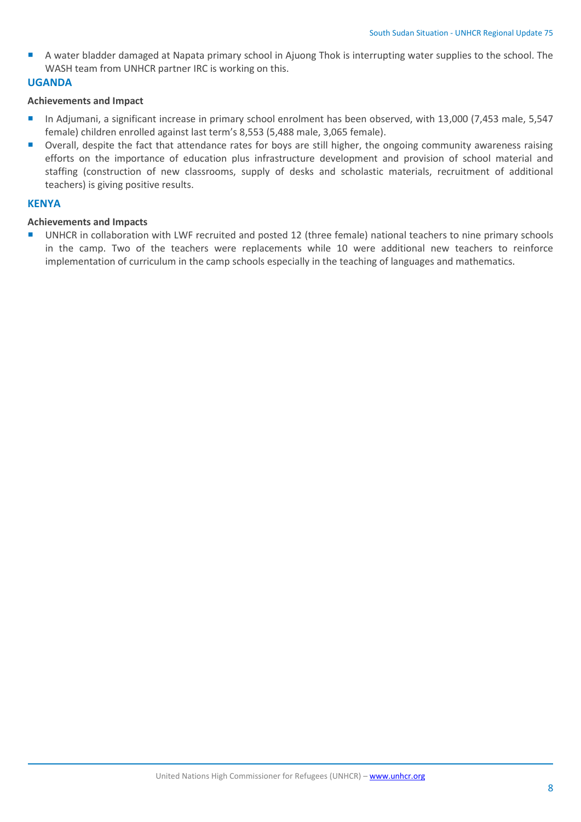A water bladder damaged at Napata primary school in Ajuong Thok is interrupting water supplies to the school. The WASH team from UNHCR partner IRC is working on this.

## **UGANDA**

## **Achievements and Impact**

- In Adjumani, a significant increase in primary school enrolment has been observed, with 13,000 (7,453 male, 5,547 female) children enrolled against last term's 8,553 (5,488 male, 3,065 female).
- Overall, despite the fact that attendance rates for boys are still higher, the ongoing community awareness raising efforts on the importance of education plus infrastructure development and provision of school material and staffing (construction of new classrooms, supply of desks and scholastic materials, recruitment of additional teachers) is giving positive results.

## **KENYA**

## **Achievements and Impacts**

■ UNHCR in collaboration with LWF recruited and posted 12 (three female) national teachers to nine primary schools in the camp. Two of the teachers were replacements while 10 were additional new teachers to reinforce implementation of curriculum in the camp schools especially in the teaching of languages and mathematics.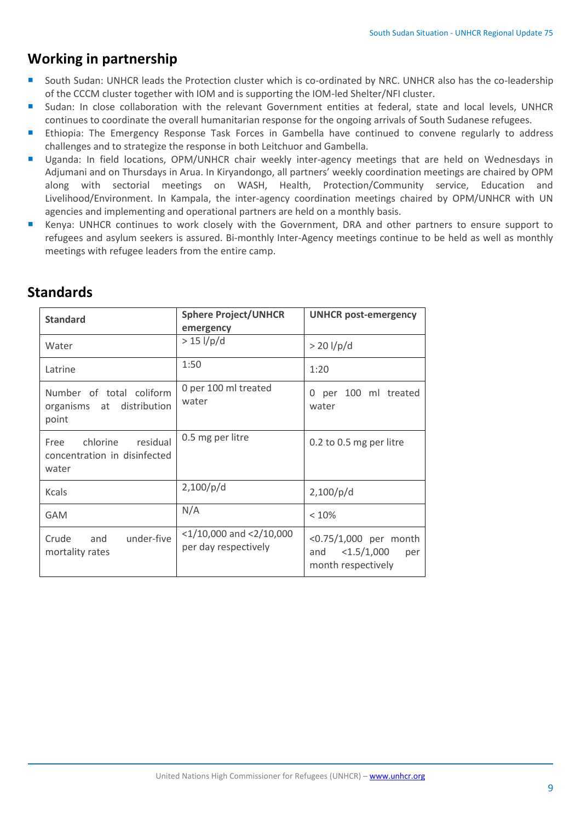## **Working in partnership**

- South Sudan: UNHCR leads the Protection cluster which is co-ordinated by NRC. UNHCR also has the co-leadership of the CCCM cluster together with IOM and is supporting the IOM-led Shelter/NFI cluster.
- Sudan: In close collaboration with the relevant Government entities at federal, state and local levels, UNHCR continues to coordinate the overall humanitarian response for the ongoing arrivals of South Sudanese refugees.
- **Ethiopia: The Emergency Response Task Forces in Gambella have continued to convene regularly to address** challenges and to strategize the response in both Leitchuor and Gambella.
- **Uganda: In field locations, OPM/UNHCR chair weekly inter-agency meetings that are held on Wednesdays in** Adjumani and on Thursdays in Arua. In Kiryandongo, all partners' weekly coordination meetings are chaired by OPM along with sectorial meetings on WASH, Health, Protection/Community service, Education and Livelihood/Environment. In Kampala, the inter-agency coordination meetings chaired by OPM/UNHCR with UN agencies and implementing and operational partners are held on a monthly basis.
- Kenya: UNHCR continues to work closely with the Government, DRA and other partners to ensure support to refugees and asylum seekers is assured. Bi-monthly Inter-Agency meetings continue to be held as well as monthly meetings with refugee leaders from the entire camp.

## **Standards**

| <b>Standard</b>                                                       | <b>Sphere Project/UNHCR</b><br>emergency              | <b>UNHCR post-emergency</b>                                             |  |
|-----------------------------------------------------------------------|-------------------------------------------------------|-------------------------------------------------------------------------|--|
| Water                                                                 | $> 15$ l/p/d                                          | $> 20$ l/p/d                                                            |  |
| Latrine                                                               | 1:50                                                  | 1:20                                                                    |  |
| Number of total coliform<br>organisms at distribution<br>point        | 0 per 100 ml treated<br>water                         | per 100 ml treated<br>0<br>water                                        |  |
| chlorine<br>residual<br>Free<br>concentration in disinfected<br>water | 0.5 mg per litre                                      | 0.2 to 0.5 mg per litre                                                 |  |
| Kcals                                                                 | 2,100/p/d                                             | 2,100/p/d                                                               |  |
| <b>GAM</b>                                                            | N/A                                                   | < 10%                                                                   |  |
| under-five<br>and<br>Crude<br>mortality rates                         | $<$ 1/10,000 and $<$ 2/10,000<br>per day respectively | <0.75/1,000 per month<br><1.5/1,000<br>and<br>per<br>month respectively |  |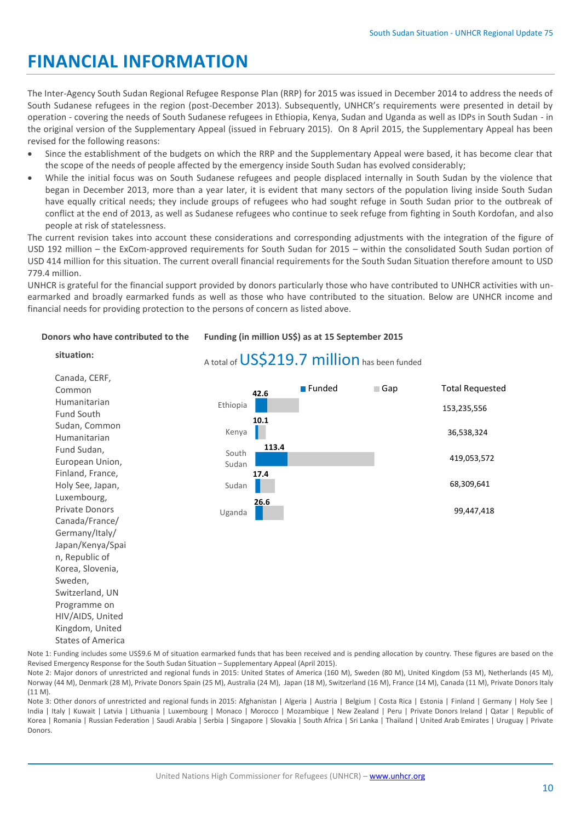# **FINANCIAL INFORMATION**

The Inter-Agency South Sudan Regional Refugee Response Plan (RRP) for 2015 was issued in December 2014 to address the needs of South Sudanese refugees in the region (post-December 2013). Subsequently, UNHCR's requirements were presented in detail by operation - covering the needs of South Sudanese refugees in Ethiopia, Kenya, Sudan and Uganda as well as IDPs in South Sudan - in the original version of the Supplementary Appeal (issued in February 2015). On 8 April 2015, the Supplementary Appeal has been revised for the following reasons:

- Since the establishment of the budgets on which the RRP and the Supplementary Appeal were based, it has become clear that the scope of the needs of people affected by the emergency inside South Sudan has evolved considerably;
- While the initial focus was on South Sudanese refugees and people displaced internally in South Sudan by the violence that began in December 2013, more than a year later, it is evident that many sectors of the population living inside South Sudan have equally critical needs; they include groups of refugees who had sought refuge in South Sudan prior to the outbreak of conflict at the end of 2013, as well as Sudanese refugees who continue to seek refuge from fighting in South Kordofan, and also people at risk of statelessness.

The current revision takes into account these considerations and corresponding adjustments with the integration of the figure of USD 192 million – the ExCom-approved requirements for South Sudan for 2015 – within the consolidated South Sudan portion of USD 414 million for this situation. The current overall financial requirements for the South Sudan Situation therefore amount to USD 779.4 million.

UNHCR is grateful for the financial support provided by donors particularly those who have contributed to UNHCR activities with unearmarked and broadly earmarked funds as well as those who have contributed to the situation. Below are UNHCR income and financial needs for providing protection to the persons of concern as listed above.

#### **Donors who have contributed to the**

#### **Funding (in million US\$) as at 15 September 2015**

## **situation:**

Kingdom, United States of America

| Canada, CERF,    |          |       |                       |            |                        |
|------------------|----------|-------|-----------------------|------------|------------------------|
| Common           |          | 42.6  | $\blacksquare$ Funded | $\Box$ Gap | <b>Total Requested</b> |
| Humanitarian     | Ethiopia |       |                       |            |                        |
| Fund South       |          | 10.1  |                       |            | 153,235,556            |
| Sudan, Common    |          |       |                       |            |                        |
| Humanitarian     | Kenya    |       |                       |            | 36,538,324             |
| Fund Sudan,      | South    | 113.4 |                       |            |                        |
| European Union,  | Sudan    |       |                       |            | 419,053,572            |
| Finland, France, |          | 17.4  |                       |            |                        |
| Holy See, Japan, | Sudan    |       |                       |            | 68,309,641             |
| Luxembourg,      |          | 26.6  |                       |            |                        |
| Private Donors   | Uganda   |       |                       |            | 99,447,418             |
| Canada/France/   |          |       |                       |            |                        |
| Germany/Italy/   |          |       |                       |            |                        |
| Japan/Kenya/Spai |          |       |                       |            |                        |
| n, Republic of   |          |       |                       |            |                        |
| Korea, Slovenia, |          |       |                       |            |                        |
| Sweden,          |          |       |                       |            |                        |
| Switzerland, UN  |          |       |                       |            |                        |
| Programme on     |          |       |                       |            |                        |
| HIV/AIDS, United |          |       |                       |            |                        |

A total of US\$219.7 million has been funded

Note 1: Funding includes some US\$9.6 M of situation earmarked funds that has been received and is pending allocation by country. These figures are based on the Revised Emergency Response for the South Sudan Situation – Supplementary Appeal (April 2015).

Note 2: Major donors of unrestricted and regional funds in 2015: United States of America (160 M), Sweden (80 M), United Kingdom (53 M), Netherlands (45 M), Norway (44 M), Denmark (28 M), Private Donors Spain (25 M), Australia (24 M), Japan (18 M), Switzerland (16 M), France (14 M), Canada (11 M), Private Donors Italy (11 M).

Note 3: Other donors of unrestricted and regional funds in 2015: Afghanistan | Algeria | Austria | Belgium | Costa Rica | Estonia | Finland | Germany | Holy See | India | Italy | Kuwait | Latvia | Lithuania | Luxembourg | Monaco | Morocco | Mozambique | New Zealand | Peru | Private Donors Ireland | Qatar | Republic of Korea | Romania | Russian Federation | Saudi Arabia | Serbia | Singapore | Slovakia | South Africa | Sri Lanka | Thailand | United Arab Emirates | Uruguay | Private Donors.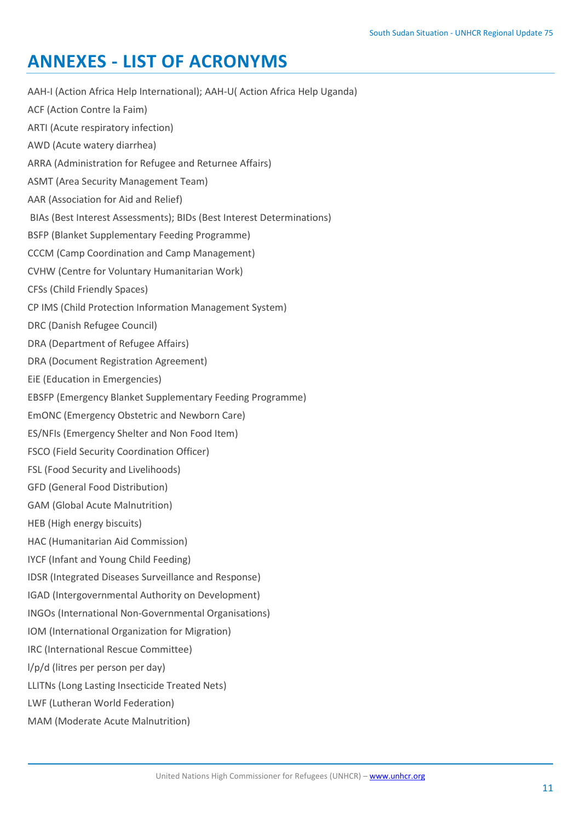# **ANNEXES - LIST OF ACRONYMS**

AAH-I (Action Africa Help International); AAH-U( Action Africa Help Uganda) ACF (Action Contre la Faim) ARTI (Acute respiratory infection) AWD (Acute watery diarrhea) ARRA (Administration for Refugee and Returnee Affairs) ASMT (Area Security Management Team) AAR (Association for Aid and Relief) BIAs (Best Interest Assessments); BIDs (Best Interest Determinations) BSFP (Blanket Supplementary Feeding Programme) CCCM (Camp Coordination and Camp Management) CVHW (Centre for Voluntary Humanitarian Work) CFSs (Child Friendly Spaces) CP IMS (Child Protection Information Management System) DRC (Danish Refugee Council) DRA (Department of Refugee Affairs) DRA (Document Registration Agreement) EiE (Education in Emergencies) EBSFP (Emergency Blanket Supplementary Feeding Programme) EmONC (Emergency Obstetric and Newborn Care) ES/NFIs (Emergency Shelter and Non Food Item) FSCO (Field Security Coordination Officer) FSL (Food Security and Livelihoods) GFD (General Food Distribution) GAM (Global Acute Malnutrition) HEB (High energy biscuits) HAC (Humanitarian Aid Commission) IYCF (Infant and Young Child Feeding) IDSR (Integrated Diseases Surveillance and Response) IGAD (Intergovernmental Authority on Development) INGOs (International Non-Governmental Organisations) IOM (International Organization for Migration) IRC (International Rescue Committee) l/p/d (litres per person per day) LLITNs (Long Lasting Insecticide Treated Nets) LWF (Lutheran World Federation)

MAM (Moderate Acute Malnutrition)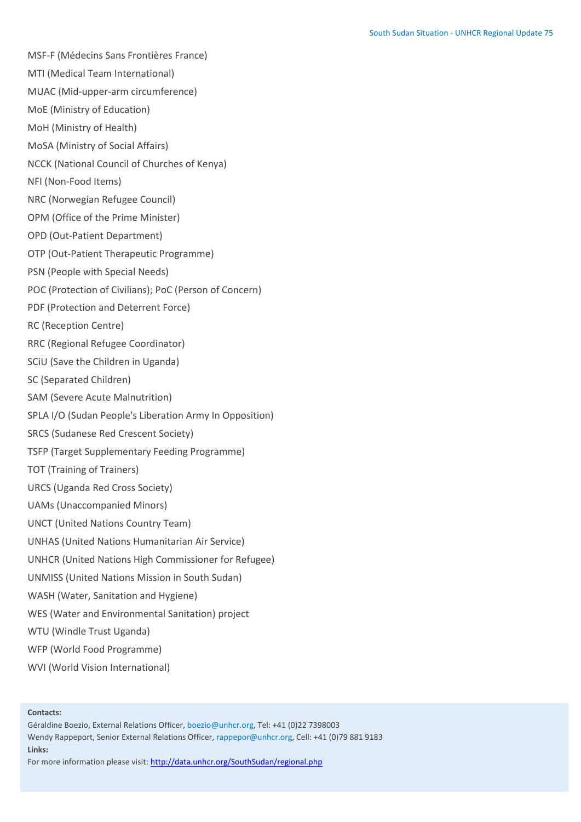MSF-F (Médecins Sans Frontières France)

MTI (Medical Team International)

MUAC (Mid-upper-arm circumference)

MoE (Ministry of Education)

MoH (Ministry of Health)

MoSA (Ministry of Social Affairs)

NCCK (National Council of Churches of Kenya)

NFI (Non-Food Items)

NRC (Norwegian Refugee Council)

OPM (Office of the Prime Minister)

OPD (Out-Patient Department)

OTP (Out-Patient Therapeutic Programme)

PSN (People with Special Needs)

POC (Protection of Civilians); PoC (Person of Concern)

PDF (Protection and Deterrent Force)

RC (Reception Centre)

RRC (Regional Refugee Coordinator)

SCiU (Save the Children in Uganda)

SC (Separated Children)

SAM (Severe Acute Malnutrition)

SPLA I/O (Sudan People's Liberation Army In Opposition)

SRCS (Sudanese Red Crescent Society)

TSFP (Target Supplementary Feeding Programme)

TOT (Training of Trainers)

URCS (Uganda Red Cross Society)

UAMs (Unaccompanied Minors)

UNCT (United Nations Country Team)

UNHAS (United Nations Humanitarian Air Service)

UNHCR (United Nations High Commissioner for Refugee)

UNMISS (United Nations Mission in South Sudan)

WASH (Water, Sanitation and Hygiene)

WES (Water and Environmental Sanitation) project

WTU (Windle Trust Uganda)

WFP (World Food Programme)

WVI (World Vision International)

#### **Contacts:**

Géraldine Boezio, External Relations Officer, boezio@unhcr.org, Tel: +41 (0)22 7398003 Wendy Rappeport, Senior External Relations Officer, rappepor@unhcr.org, Cell: +41 (0)79 881 9183 **Links:**

For more information please visit[: http://data.unhcr.org/SouthSudan/regional.php](http://data.unhcr.org/SouthSudan/regional.php)